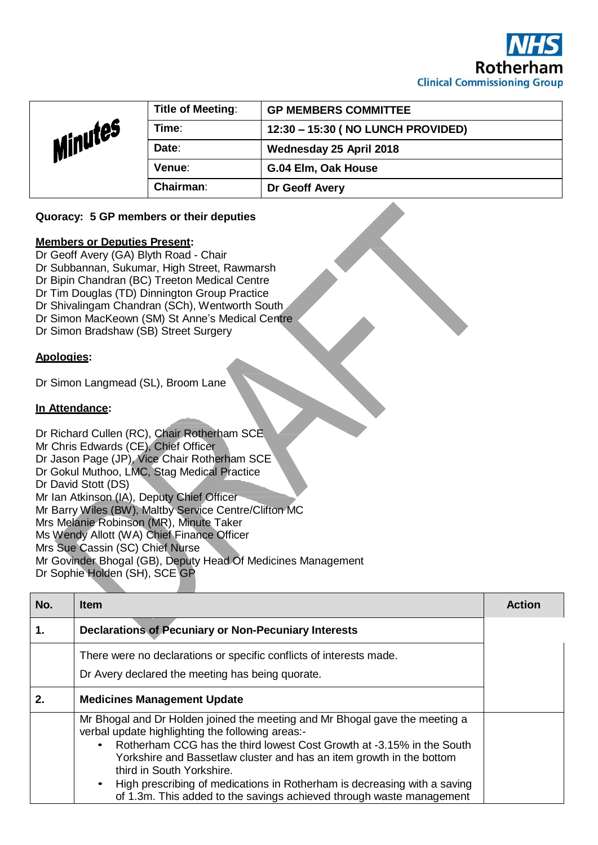

|         | <b>Title of Meeting:</b> | <b>GP MEMBERS COMMITTEE</b>        |
|---------|--------------------------|------------------------------------|
| Minutes | Time:                    | 12:30 - 15:30 ( NO LUNCH PROVIDED) |
|         | Date:                    | Wednesday 25 April 2018            |
|         | Venue:                   | G.04 Elm, Oak House                |
|         | <b>Chairman:</b>         | Dr Geoff Avery                     |

## **Quoracy: 5 GP members or their deputies**

## **Members or Deputies Present:**

Dr Geoff Avery (GA) Blyth Road - Chair Dr Subbannan, Sukumar, High Street, Rawmarsh Dr Bipin Chandran (BC) Treeton Medical Centre Dr Tim Douglas (TD) Dinnington Group Practice Dr Shivalingam Chandran (SCh), Wentworth South Dr Simon MacKeown (SM) St Anne's Medical Centre Dr Simon Bradshaw (SB) Street Surgery

## **Apologies:**

Dr Simon Langmead (SL), Broom Lane

## **In Attendance:**

Dr Richard Cullen (RC), Chair Rotherham SCE Mr Chris Edwards (CE), Chief Officer Dr Jason Page (JP), Vice Chair Rotherham SCE Dr Gokul Muthoo, LMC, Stag Medical Practice Dr David Stott (DS) Mr Ian Atkinson (IA), Deputy Chief Officer Mr Barry Wiles (BW), Maltby Service Centre/Clifton MC Mrs Melanie Robinson (MR), Minute Taker Ms Wendy Allott (WA) Chief Finance Officer Mrs Sue Cassin (SC) Chief Nurse Mr Govinder Bhogal (GB), Deputy Head Of Medicines Management Dr Sophie Holden (SH), SCE GP

| No. | <b>Item</b>                                                                                                                                                                                                                                                                                                                                                                                                                                                       | <b>Action</b> |
|-----|-------------------------------------------------------------------------------------------------------------------------------------------------------------------------------------------------------------------------------------------------------------------------------------------------------------------------------------------------------------------------------------------------------------------------------------------------------------------|---------------|
| 1.  | <b>Declarations of Pecuniary or Non-Pecuniary Interests</b>                                                                                                                                                                                                                                                                                                                                                                                                       |               |
|     | There were no declarations or specific conflicts of interests made.<br>Dr Avery declared the meeting has being quorate.                                                                                                                                                                                                                                                                                                                                           |               |
| 2.  | <b>Medicines Management Update</b>                                                                                                                                                                                                                                                                                                                                                                                                                                |               |
|     | Mr Bhogal and Dr Holden joined the meeting and Mr Bhogal gave the meeting a<br>verbal update highlighting the following areas:-<br>Rotherham CCG has the third lowest Cost Growth at -3.15% in the South<br>Yorkshire and Bassetlaw cluster and has an item growth in the bottom<br>third in South Yorkshire.<br>High prescribing of medications in Rotherham is decreasing with a saving<br>of 1.3m. This added to the savings achieved through waste management |               |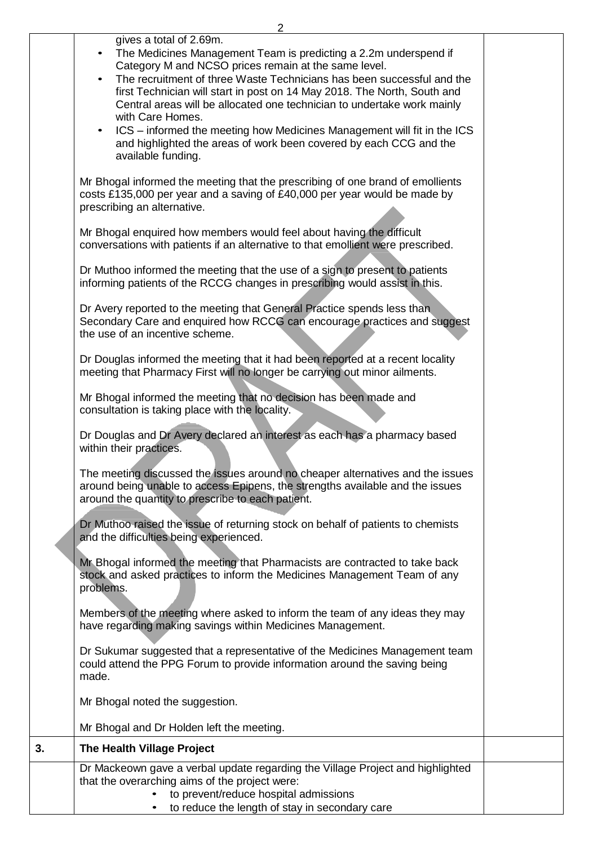|    | ∠                                                                                                                                                                                                                                                                                                                                                                                                                                                                                                                                                                                                                                                                                                        |  |
|----|----------------------------------------------------------------------------------------------------------------------------------------------------------------------------------------------------------------------------------------------------------------------------------------------------------------------------------------------------------------------------------------------------------------------------------------------------------------------------------------------------------------------------------------------------------------------------------------------------------------------------------------------------------------------------------------------------------|--|
|    | gives a total of 2.69m.<br>The Medicines Management Team is predicting a 2.2m underspend if<br>$\bullet$<br>Category M and NCSO prices remain at the same level.<br>The recruitment of three Waste Technicians has been successful and the<br>$\bullet$<br>first Technician will start in post on 14 May 2018. The North, South and<br>Central areas will be allocated one technician to undertake work mainly<br>with Care Homes.<br>ICS – informed the meeting how Medicines Management will fit in the ICS<br>$\bullet$<br>and highlighted the areas of work been covered by each CCG and the<br>available funding.<br>Mr Bhogal informed the meeting that the prescribing of one brand of emollients |  |
|    | costs £135,000 per year and a saving of £40,000 per year would be made by<br>prescribing an alternative.<br>Mr Bhogal enquired how members would feel about having the difficult<br>conversations with patients if an alternative to that emollient were prescribed.                                                                                                                                                                                                                                                                                                                                                                                                                                     |  |
|    | Dr Muthoo informed the meeting that the use of a sign to present to patients<br>informing patients of the RCCG changes in prescribing would assist in this.<br>Dr Avery reported to the meeting that General Practice spends less than<br>Secondary Care and enquired how RCCG can encourage practices and suggest<br>the use of an incentive scheme.                                                                                                                                                                                                                                                                                                                                                    |  |
|    | Dr Douglas informed the meeting that it had been reported at a recent locality<br>meeting that Pharmacy First will no longer be carrying out minor ailments.                                                                                                                                                                                                                                                                                                                                                                                                                                                                                                                                             |  |
|    | Mr Bhogal informed the meeting that no decision has been made and<br>consultation is taking place with the locality.<br>Dr Douglas and Dr Avery declared an interest as each has a pharmacy based<br>within their practices.                                                                                                                                                                                                                                                                                                                                                                                                                                                                             |  |
|    | The meeting discussed the issues around no cheaper alternatives and the issues<br>around being unable to access Epipens, the strengths available and the issues<br>around the quantity to prescribe to each patient.<br>Dr Muthoo raised the issue of returning stock on behalf of patients to chemists                                                                                                                                                                                                                                                                                                                                                                                                  |  |
|    | and the difficulties being experienced.<br>Mr Bhogal informed the meeting that Pharmacists are contracted to take back<br>stock and asked practices to inform the Medicines Management Team of any<br>problems.<br>Members of the meeting where asked to inform the team of any ideas they may<br>have regarding making savings within Medicines Management.                                                                                                                                                                                                                                                                                                                                             |  |
|    | Dr Sukumar suggested that a representative of the Medicines Management team<br>could attend the PPG Forum to provide information around the saving being<br>made.                                                                                                                                                                                                                                                                                                                                                                                                                                                                                                                                        |  |
|    | Mr Bhogal noted the suggestion.<br>Mr Bhogal and Dr Holden left the meeting.                                                                                                                                                                                                                                                                                                                                                                                                                                                                                                                                                                                                                             |  |
| 3. | The Health Village Project                                                                                                                                                                                                                                                                                                                                                                                                                                                                                                                                                                                                                                                                               |  |
|    | Dr Mackeown gave a verbal update regarding the Village Project and highlighted<br>that the overarching aims of the project were:<br>to prevent/reduce hospital admissions                                                                                                                                                                                                                                                                                                                                                                                                                                                                                                                                |  |

• to reduce the length of stay in secondary care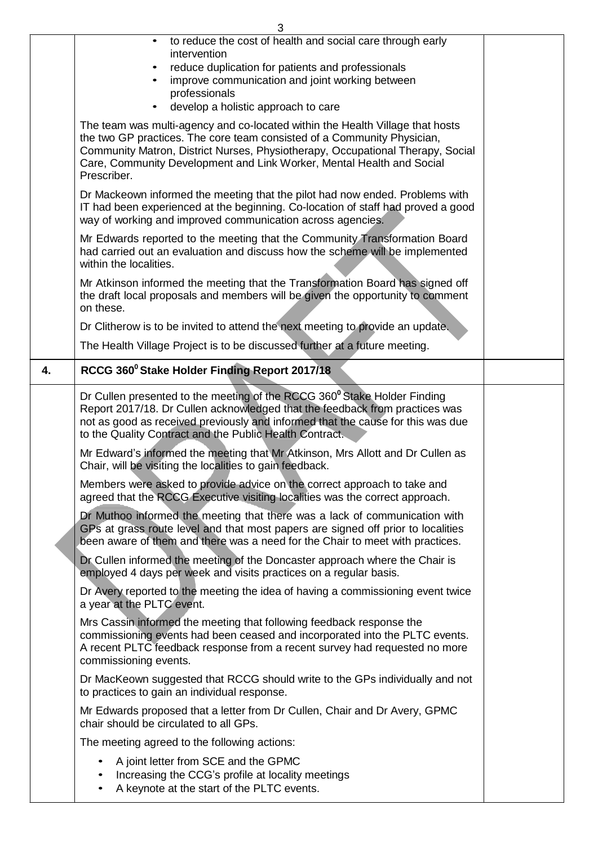| 3  |                                                                                                                                                                                                                                                                                                                                    |  |  |
|----|------------------------------------------------------------------------------------------------------------------------------------------------------------------------------------------------------------------------------------------------------------------------------------------------------------------------------------|--|--|
|    | to reduce the cost of health and social care through early<br>intervention<br>reduce duplication for patients and professionals                                                                                                                                                                                                    |  |  |
|    | improve communication and joint working between<br>professionals                                                                                                                                                                                                                                                                   |  |  |
|    | develop a holistic approach to care                                                                                                                                                                                                                                                                                                |  |  |
|    | The team was multi-agency and co-located within the Health Village that hosts<br>the two GP practices. The core team consisted of a Community Physician,<br>Community Matron, District Nurses, Physiotherapy, Occupational Therapy, Social<br>Care, Community Development and Link Worker, Mental Health and Social<br>Prescriber. |  |  |
|    | Dr Mackeown informed the meeting that the pilot had now ended. Problems with<br>IT had been experienced at the beginning. Co-location of staff had proved a good<br>way of working and improved communication across agencies.                                                                                                     |  |  |
|    | Mr Edwards reported to the meeting that the Community Transformation Board<br>had carried out an evaluation and discuss how the scheme will be implemented<br>within the localities.                                                                                                                                               |  |  |
|    | Mr Atkinson informed the meeting that the Transformation Board has signed off<br>the draft local proposals and members will be given the opportunity to comment<br>on these.                                                                                                                                                       |  |  |
|    | Dr Clitherow is to be invited to attend the next meeting to provide an update.                                                                                                                                                                                                                                                     |  |  |
|    | The Health Village Project is to be discussed further at a future meeting.                                                                                                                                                                                                                                                         |  |  |
| 4. | RCCG 360° Stake Holder Finding Report 2017/18                                                                                                                                                                                                                                                                                      |  |  |
|    | Dr Cullen presented to the meeting of the RCCG 360 <sup>°</sup> Stake Holder Finding<br>Report 2017/18. Dr Cullen acknowledged that the feedback from practices was<br>not as good as received previously and informed that the cause for this was due<br>to the Quality Contract and the Public Health Contract.                  |  |  |
|    | Mr Edward's informed the meeting that Mr Atkinson, Mrs Allott and Dr Cullen as<br>Chair, will be visiting the localities to gain feedback.                                                                                                                                                                                         |  |  |
|    | Members were asked to provide advice on the correct approach to take and<br>agreed that the RCCG Executive visiting localities was the correct approach.                                                                                                                                                                           |  |  |
|    | Dr Muthoo informed the meeting that there was a lack of communication with<br>GPs at grass route level and that most papers are signed off prior to localities<br>been aware of them and there was a need for the Chair to meet with practices.                                                                                    |  |  |
|    | Dr Cullen informed the meeting of the Doncaster approach where the Chair is<br>employed 4 days per week and visits practices on a regular basis.                                                                                                                                                                                   |  |  |
|    | Dr Avery reported to the meeting the idea of having a commissioning event twice<br>a year at the PLTC event.                                                                                                                                                                                                                       |  |  |
|    | Mrs Cassin informed the meeting that following feedback response the<br>commissioning events had been ceased and incorporated into the PLTC events.<br>A recent PLTC feedback response from a recent survey had requested no more<br>commissioning events.                                                                         |  |  |
|    | Dr MacKeown suggested that RCCG should write to the GPs individually and not<br>to practices to gain an individual response.                                                                                                                                                                                                       |  |  |
|    | Mr Edwards proposed that a letter from Dr Cullen, Chair and Dr Avery, GPMC<br>chair should be circulated to all GPs.                                                                                                                                                                                                               |  |  |
|    | The meeting agreed to the following actions:                                                                                                                                                                                                                                                                                       |  |  |
|    | A joint letter from SCE and the GPMC<br>Increasing the CCG's profile at locality meetings<br>A keynote at the start of the PLTC events.                                                                                                                                                                                            |  |  |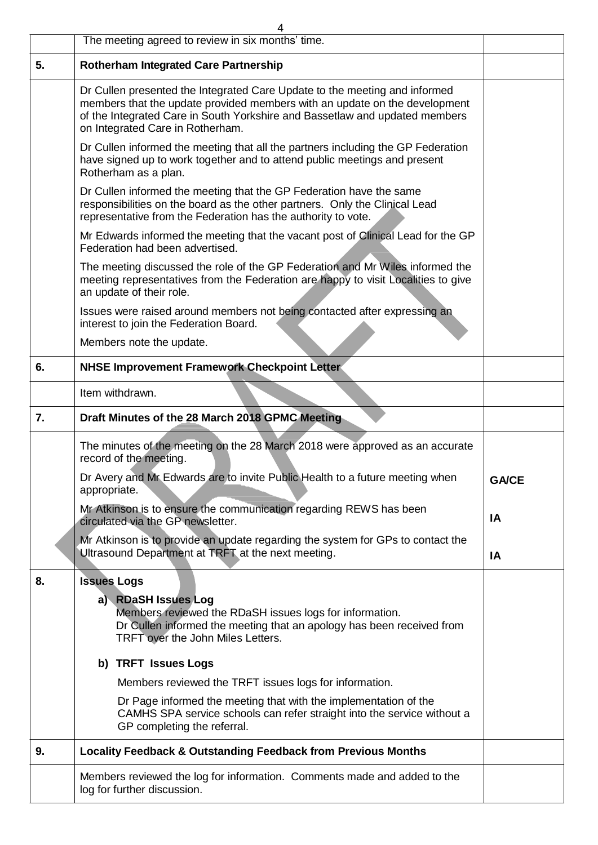|    | 4<br>The meeting agreed to review in six months' time.                                                                                                                                                                                                                      |              |
|----|-----------------------------------------------------------------------------------------------------------------------------------------------------------------------------------------------------------------------------------------------------------------------------|--------------|
| 5. | <b>Rotherham Integrated Care Partnership</b>                                                                                                                                                                                                                                |              |
|    | Dr Cullen presented the Integrated Care Update to the meeting and informed<br>members that the update provided members with an update on the development<br>of the Integrated Care in South Yorkshire and Bassetlaw and updated members<br>on Integrated Care in Rotherham. |              |
|    | Dr Cullen informed the meeting that all the partners including the GP Federation<br>have signed up to work together and to attend public meetings and present<br>Rotherham as a plan.                                                                                       |              |
|    | Dr Cullen informed the meeting that the GP Federation have the same<br>responsibilities on the board as the other partners. Only the Clinical Lead<br>representative from the Federation has the authority to vote.                                                         |              |
|    | Mr Edwards informed the meeting that the vacant post of Clinical Lead for the GP<br>Federation had been advertised.                                                                                                                                                         |              |
|    | The meeting discussed the role of the GP Federation and Mr Wiles informed the<br>meeting representatives from the Federation are happy to visit Localities to give<br>an update of their role.                                                                              |              |
|    | Issues were raised around members not being contacted after expressing an<br>interest to join the Federation Board.                                                                                                                                                         |              |
|    | Members note the update.                                                                                                                                                                                                                                                    |              |
| 6. | <b>NHSE Improvement Framework Checkpoint Letter</b>                                                                                                                                                                                                                         |              |
|    | Item withdrawn.                                                                                                                                                                                                                                                             |              |
| 7. | Draft Minutes of the 28 March 2018 GPMC Meeting                                                                                                                                                                                                                             |              |
|    | The minutes of the meeting on the 28 March 2018 were approved as an accurate<br>record of the meeting.                                                                                                                                                                      |              |
|    | Dr Avery and Mr Edwards are to invite Public Health to a future meeting when<br>appropriate.                                                                                                                                                                                | <b>GA/CE</b> |
|    | Mr Atkinson is to ensure the communication regarding REWS has been<br>circulated via the GP newsletter.                                                                                                                                                                     | IA           |
|    | Mr Atkinson is to provide an update regarding the system for GPs to contact the<br>Ultrasound Department at TRFT at the next meeting.                                                                                                                                       | IA           |
| 8. | <b>Issues Logs</b><br>a) RDaSH Issues Log<br>Members reviewed the RDaSH issues logs for information.<br>Dr Cullen informed the meeting that an apology has been received from<br>TRFT over the John Miles Letters.                                                          |              |
|    | b) TRFT Issues Logs                                                                                                                                                                                                                                                         |              |
|    | Members reviewed the TRFT issues logs for information.                                                                                                                                                                                                                      |              |
|    | Dr Page informed the meeting that with the implementation of the<br>CAMHS SPA service schools can refer straight into the service without a<br>GP completing the referral.                                                                                                  |              |
| 9. | <b>Locality Feedback &amp; Outstanding Feedback from Previous Months</b>                                                                                                                                                                                                    |              |
|    | Members reviewed the log for information. Comments made and added to the<br>log for further discussion.                                                                                                                                                                     |              |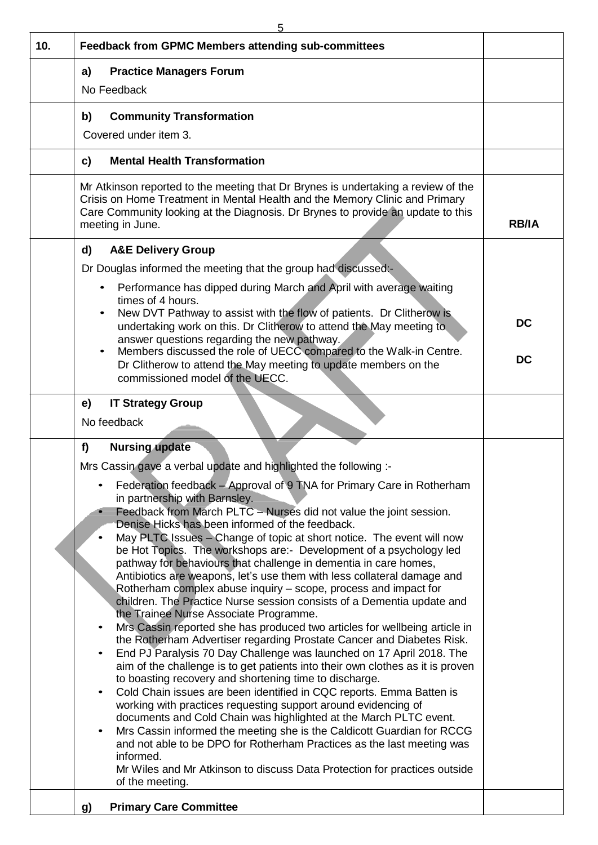| 10. | Feedback from GPMC Members attending sub-committees                                                                                                                                                                                                                                                                                                                                                                                                                                                                                                                                                                                                                                                                                                                                                                                                                                                                                                                                                                                                                                                                                                                                                                                                                                                                                                                                                                                                                                                                                                                                                       |              |
|-----|-----------------------------------------------------------------------------------------------------------------------------------------------------------------------------------------------------------------------------------------------------------------------------------------------------------------------------------------------------------------------------------------------------------------------------------------------------------------------------------------------------------------------------------------------------------------------------------------------------------------------------------------------------------------------------------------------------------------------------------------------------------------------------------------------------------------------------------------------------------------------------------------------------------------------------------------------------------------------------------------------------------------------------------------------------------------------------------------------------------------------------------------------------------------------------------------------------------------------------------------------------------------------------------------------------------------------------------------------------------------------------------------------------------------------------------------------------------------------------------------------------------------------------------------------------------------------------------------------------------|--------------|
|     | <b>Practice Managers Forum</b><br>a)                                                                                                                                                                                                                                                                                                                                                                                                                                                                                                                                                                                                                                                                                                                                                                                                                                                                                                                                                                                                                                                                                                                                                                                                                                                                                                                                                                                                                                                                                                                                                                      |              |
|     | No Feedback                                                                                                                                                                                                                                                                                                                                                                                                                                                                                                                                                                                                                                                                                                                                                                                                                                                                                                                                                                                                                                                                                                                                                                                                                                                                                                                                                                                                                                                                                                                                                                                               |              |
|     | <b>Community Transformation</b><br>b)                                                                                                                                                                                                                                                                                                                                                                                                                                                                                                                                                                                                                                                                                                                                                                                                                                                                                                                                                                                                                                                                                                                                                                                                                                                                                                                                                                                                                                                                                                                                                                     |              |
|     | Covered under item 3.                                                                                                                                                                                                                                                                                                                                                                                                                                                                                                                                                                                                                                                                                                                                                                                                                                                                                                                                                                                                                                                                                                                                                                                                                                                                                                                                                                                                                                                                                                                                                                                     |              |
|     | <b>Mental Health Transformation</b><br>c)                                                                                                                                                                                                                                                                                                                                                                                                                                                                                                                                                                                                                                                                                                                                                                                                                                                                                                                                                                                                                                                                                                                                                                                                                                                                                                                                                                                                                                                                                                                                                                 |              |
|     | Mr Atkinson reported to the meeting that Dr Brynes is undertaking a review of the<br>Crisis on Home Treatment in Mental Health and the Memory Clinic and Primary<br>Care Community looking at the Diagnosis. Dr Brynes to provide an update to this<br>meeting in June.                                                                                                                                                                                                                                                                                                                                                                                                                                                                                                                                                                                                                                                                                                                                                                                                                                                                                                                                                                                                                                                                                                                                                                                                                                                                                                                                   | <b>RB/IA</b> |
|     | <b>A&amp;E Delivery Group</b><br>d)<br>Dr Douglas informed the meeting that the group had discussed:-                                                                                                                                                                                                                                                                                                                                                                                                                                                                                                                                                                                                                                                                                                                                                                                                                                                                                                                                                                                                                                                                                                                                                                                                                                                                                                                                                                                                                                                                                                     |              |
|     | Performance has dipped during March and April with average waiting<br>$\bullet$<br>times of 4 hours.                                                                                                                                                                                                                                                                                                                                                                                                                                                                                                                                                                                                                                                                                                                                                                                                                                                                                                                                                                                                                                                                                                                                                                                                                                                                                                                                                                                                                                                                                                      |              |
|     | New DVT Pathway to assist with the flow of patients. Dr Clitherow is<br>$\bullet$<br>undertaking work on this. Dr Clitherow to attend the May meeting to<br>answer questions regarding the new pathway.                                                                                                                                                                                                                                                                                                                                                                                                                                                                                                                                                                                                                                                                                                                                                                                                                                                                                                                                                                                                                                                                                                                                                                                                                                                                                                                                                                                                   | <b>DC</b>    |
|     | Members discussed the role of UECC compared to the Walk-in Centre.<br>$\bullet$<br>Dr Clitherow to attend the May meeting to update members on the<br>commissioned model of the UECC.                                                                                                                                                                                                                                                                                                                                                                                                                                                                                                                                                                                                                                                                                                                                                                                                                                                                                                                                                                                                                                                                                                                                                                                                                                                                                                                                                                                                                     | <b>DC</b>    |
|     | <b>IT Strategy Group</b><br>e)<br>No feedback<br><b>Nursing update</b><br>f)                                                                                                                                                                                                                                                                                                                                                                                                                                                                                                                                                                                                                                                                                                                                                                                                                                                                                                                                                                                                                                                                                                                                                                                                                                                                                                                                                                                                                                                                                                                              |              |
|     | Mrs Cassin gave a verbal update and highlighted the following :-                                                                                                                                                                                                                                                                                                                                                                                                                                                                                                                                                                                                                                                                                                                                                                                                                                                                                                                                                                                                                                                                                                                                                                                                                                                                                                                                                                                                                                                                                                                                          |              |
|     | Federation feedback - Approval of 9 TNA for Primary Care in Rotherham<br>in partnership with Barnsley.<br>Feedback from March PLTC - Nurses did not value the joint session.<br>Denise Hicks has been informed of the feedback.<br>May PLTC Issues - Change of topic at short notice. The event will now<br>be Hot Topics. The workshops are:- Development of a psychology led<br>pathway for behaviours that challenge in dementia in care homes,<br>Antibiotics are weapons, let's use them with less collateral damage and<br>Rotherham complex abuse inquiry – scope, process and impact for<br>children. The Practice Nurse session consists of a Dementia update and<br>the Trainee Nurse Associate Programme.<br>Mrs Cassin reported she has produced two articles for wellbeing article in<br>the Rotherham Advertiser regarding Prostate Cancer and Diabetes Risk.<br>End PJ Paralysis 70 Day Challenge was launched on 17 April 2018. The<br>$\bullet$<br>aim of the challenge is to get patients into their own clothes as it is proven<br>to boasting recovery and shortening time to discharge.<br>Cold Chain issues are been identified in CQC reports. Emma Batten is<br>$\bullet$<br>working with practices requesting support around evidencing of<br>documents and Cold Chain was highlighted at the March PLTC event.<br>Mrs Cassin informed the meeting she is the Caldicott Guardian for RCCG<br>and not able to be DPO for Rotherham Practices as the last meeting was<br>informed.<br>Mr Wiles and Mr Atkinson to discuss Data Protection for practices outside<br>of the meeting. |              |
|     | <b>Primary Care Committee</b><br>g)                                                                                                                                                                                                                                                                                                                                                                                                                                                                                                                                                                                                                                                                                                                                                                                                                                                                                                                                                                                                                                                                                                                                                                                                                                                                                                                                                                                                                                                                                                                                                                       |              |
|     |                                                                                                                                                                                                                                                                                                                                                                                                                                                                                                                                                                                                                                                                                                                                                                                                                                                                                                                                                                                                                                                                                                                                                                                                                                                                                                                                                                                                                                                                                                                                                                                                           |              |